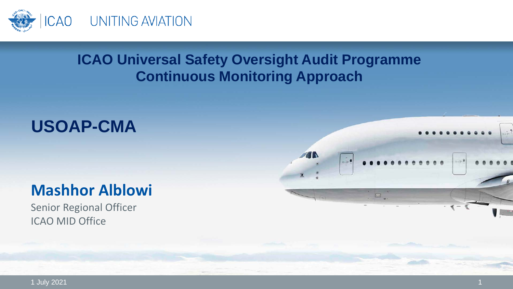

#### **ICAO Universal Safety Oversight Audit Programme Continuous Monitoring Approach**

## **USOAP-CMA**

### **Mashhor Alblowi**

Senior Regional Officer ICAO MID Office



1 July 2021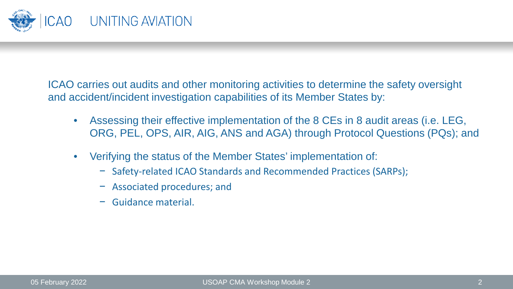

ICAO carries out audits and other monitoring activities to determine the safety oversight and accident/incident investigation capabilities of its Member States by:

- Assessing their effective implementation of the 8 CEs in 8 audit areas (i.e. LEG, ORG, PEL, OPS, AIR, AIG, ANS and AGA) through Protocol Questions (PQs); and
- Verifying the status of the Member States' implementation of:
	- − Safety-related ICAO Standards and Recommended Practices (SARPs);
	- − Associated procedures; and
	- − Guidance material.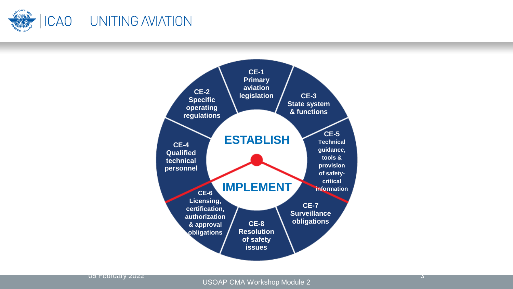

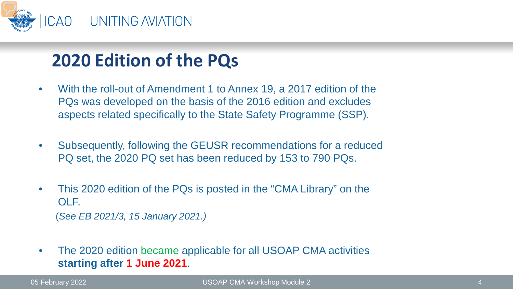

# **2020 Edition of the PQs**

- With the roll-out of Amendment 1 to Annex 19, a 2017 edition of the PQs was developed on the basis of the 2016 edition and excludes aspects related specifically to the State Safety Programme (SSP).
- Subsequently, following the GEUSR recommendations for a reduced PQ set, the 2020 PQ set has been reduced by 153 to 790 PQs.
- This 2020 edition of the PQs is posted in the "CMA Library" on the OLF.

(*See EB 2021/3, 15 January 2021.)*

• The 2020 edition became applicable for all USOAP CMA activities **starting after 1 June 2021**.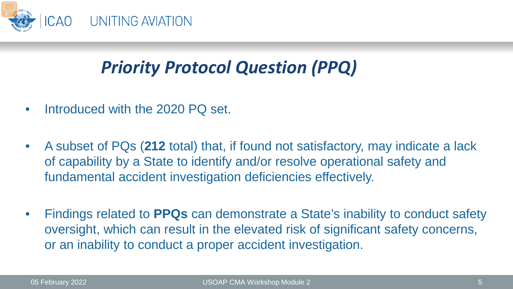

# *Priority Protocol Question (PPQ)*

- Introduced with the 2020 PO set.
- A subset of PQs (**212** total) that, if found not satisfactory, may indicate a lack of capability by a State to identify and/or resolve operational safety and fundamental accident investigation deficiencies effectively.
- Findings related to **PPQs** can demonstrate a State's inability to conduct safety oversight, which can result in the elevated risk of significant safety concerns, or an inability to conduct a proper accident investigation.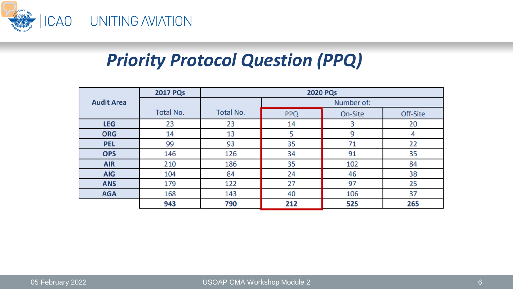

# *Priority Protocol Question (PPQ)*

|                   | <b>2017 PQs</b> | <b>2020 PQs</b> |            |         |          |  |  |
|-------------------|-----------------|-----------------|------------|---------|----------|--|--|
| <b>Audit Area</b> |                 |                 | Number of: |         |          |  |  |
|                   | Total No.       | Total No.       | <b>PPQ</b> | On-Site | Off-Site |  |  |
| <b>LEG</b>        | 23              | 23              | 14         | 3       | 20       |  |  |
| <b>ORG</b>        | 14              | 13              | 5          | 9       | 4        |  |  |
| <b>PEL</b>        | 99              | 93              | 35         | 71      | 22       |  |  |
| <b>OPS</b>        | 146             | 126             | 34         | 91      | 35       |  |  |
| <b>AIR</b>        | 210             | 186             | 35         | 102     | 84       |  |  |
| <b>AIG</b>        | 104             | 84              | 24         | 46      | 38       |  |  |
| <b>ANS</b>        | 179             | 122             | 27         | 97      | 25       |  |  |
| <b>AGA</b>        | 168             | 143             | 40         | 106     | 37       |  |  |
|                   | 943             | 790             | 212        | 525     | 265      |  |  |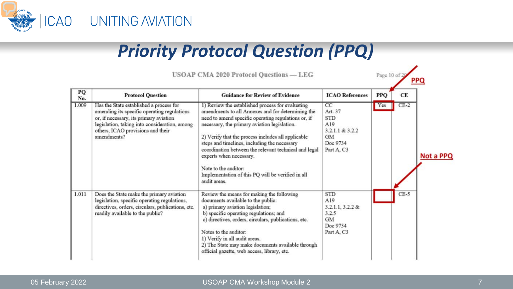

# *Priority Protocol Question (PPQ)*

| PQ<br>No. | <b>Protocol Question</b>                                                                                                                                                                                                              | <b>Guidance for Review of Evidence</b>                                                                                                                                                                                                                                                                                                                                                                                                                                                              | <b>ICAO References</b>                                                                       | <b>PPO</b> | <b>CE</b> |           |
|-----------|---------------------------------------------------------------------------------------------------------------------------------------------------------------------------------------------------------------------------------------|-----------------------------------------------------------------------------------------------------------------------------------------------------------------------------------------------------------------------------------------------------------------------------------------------------------------------------------------------------------------------------------------------------------------------------------------------------------------------------------------------------|----------------------------------------------------------------------------------------------|------------|-----------|-----------|
| 1.009     | Has the State established a process for<br>amending its specific operating regulations<br>or, if necessary, its primary aviation<br>legislation, taking into consideration, among<br>others, ICAO provisions and their<br>amendments? | 1) Review the established process for evaluating<br>amendments to all Annexes and for determining the<br>need to amend specific operating regulations or, if<br>necessary, the primary aviation legislation.<br>2) Verify that the process includes all applicable<br>steps and timelines, including the necessary<br>coordination between the relevant technical and legal<br>experts when necessary.<br>Note to the auditor:<br>Implementation of this PQ will be verified in all<br>audit areas. | CC<br>Art. 37<br><b>STD</b><br>A19<br>3.2.1.1 & 3.2.2<br><b>GM</b><br>Doc 9734<br>Part A. C3 | Yes        | $CE-2$    | Not a PPQ |
| 1.011     | Does the State make the primary aviation<br>legislation, specific operating regulations,<br>directives, orders, circulars, publications, etc.<br>readily available to the public?                                                     | Review the means for making the following<br>documents available to the public:<br>a) primary aviation legislation;<br>b) specific operating regulations; and<br>c) directives, orders, circulars, publications, etc.<br>Notes to the auditor:<br>1) Verify in all audit areas.<br>2) The State may make documents available through<br>official gazette, web access, library, etc.                                                                                                                 | <b>STD</b><br>A19<br>$3.2.1.1, 3.2.2 \&$<br>3.2.5<br><b>GM</b><br>Doc 9734<br>Part A. C3     |            | $CE-5$    |           |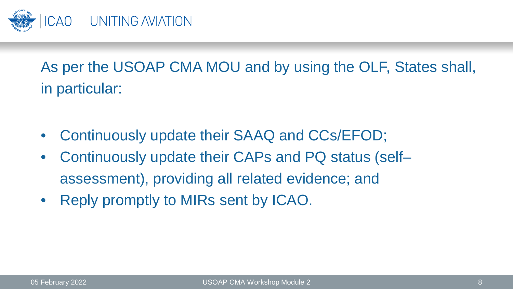

As per the USOAP CMA MOU and by using the OLF, States shall, in particular:

- Continuously update their SAAQ and CCs/EFOD;
- Continuously update their CAPs and PQ status (self– assessment), providing all related evidence; and
- Reply promptly to MIRs sent by ICAO.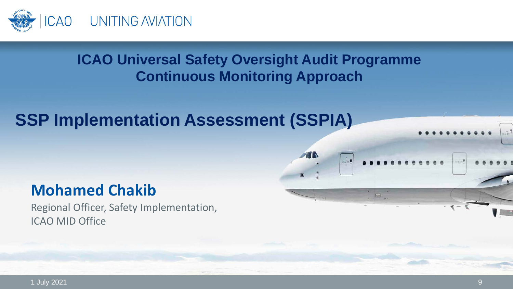

#### **ICAO Universal Safety Oversight Audit Programme Continuous Monitoring Approach**

 $... - 9$ 

### **SSP Implementation Assessment (SSPIA)**

### **Mohamed Chakib**

Regional Officer, Safety Implementation, ICAO MID Office

1 July 2021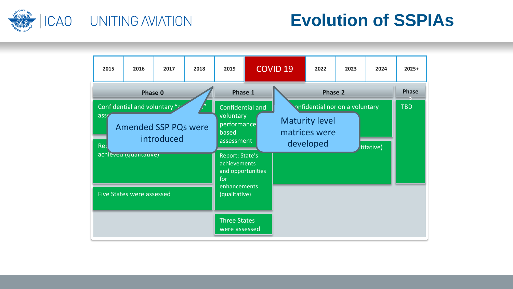

### **Evolution of SSPIAs**

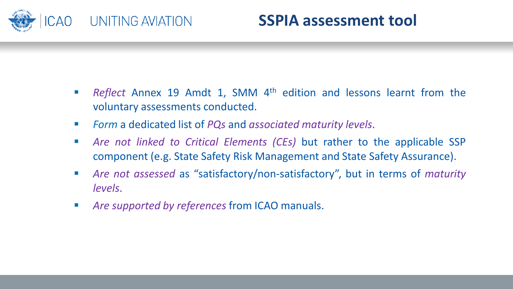

#### **SSPIA assessment tool**

- *Reflect* Annex 19 Amdt 1, SMM 4<sup>th</sup> edition and lessons learnt from the voluntary assessments conducted.
- *Form* a dedicated list of *PQs* and *associated maturity levels*.
- *Are not linked to Critical Elements (CEs)* but rather to the applicable SSP component (e.g. State Safety Risk Management and State Safety Assurance).
- *Are not assessed* as "satisfactory/non-satisfactory", but in terms of *maturity levels*.
- *Are supported by references* from ICAO manuals.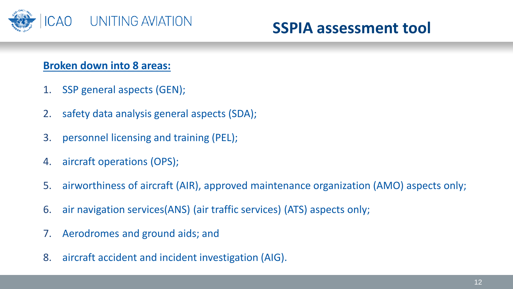

#### **Broken down into 8 areas:**

- 1. SSP general aspects (GEN);
- 2. safety data analysis general aspects (SDA);
- 3. personnel licensing and training (PEL);
- 4. aircraft operations (OPS);
- 5. airworthiness of aircraft (AIR), approved maintenance organization (AMO) aspects only;
- 6. air navigation services(ANS) (air traffic services) (ATS) aspects only;
- 7. Aerodromes and ground aids; and
- 8. aircraft accident and incident investigation (AIG).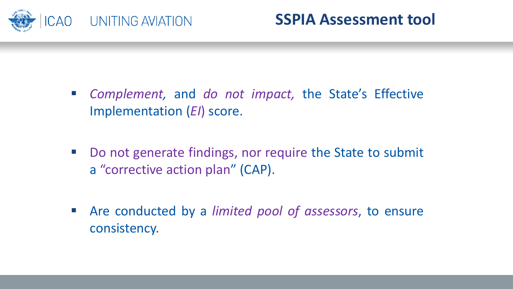

- *Complement,* and *do not impact,* the State's Effective Implementation (*EI*) score.
- Do not generate findings, nor require the State to submit a "corrective action plan" (CAP).
- Are conducted by a *limited pool of assessors*, to ensure consistency.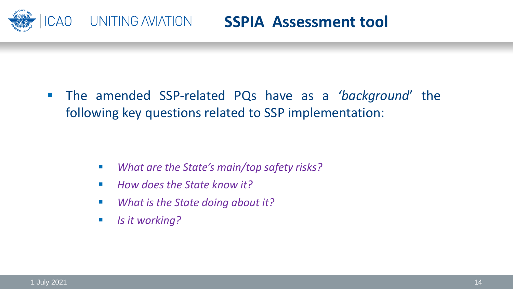

 The amended SSP-related PQs have as a *'background*' the following key questions related to SSP implementation:

- *What are the State's main/top safety risks?*
- *How does the State know it?*
- *What is the State doing about it?*
- *Is* it working?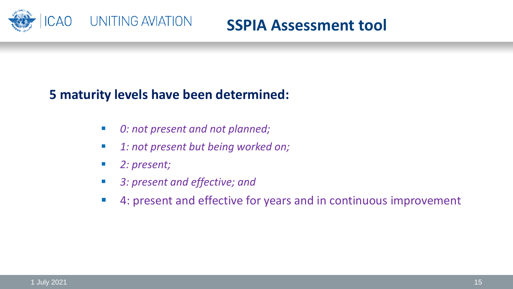

#### **SSPIA Assessment tool**

#### **5 maturity levels have been determined:**

- *0: not present and not planned;*
- *1: not present but being worked on;*
- *2: present;*
- *3: present and effective; and*
- 4: present and effective for years and in continuous improvement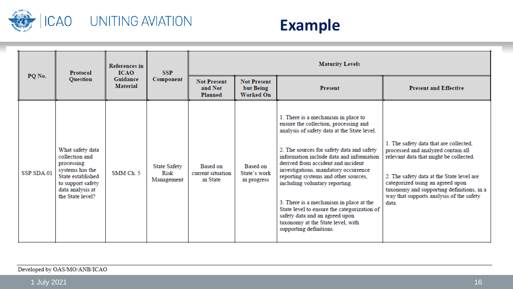

## ICAO UNITING AVIATION

### **Example**

|            | Protocol<br><b>Question</b>                                                                                                                           | <b>References</b> in<br><b>ICAO</b><br>Guidance<br><b>Material</b> | <b>SSP</b><br>Component                   | <b>Maturity Levels</b>                    |                                                     |                                                                                                                                                                                                                                                                                                                                                                                                                                                                                                                                                                          |                                                                                                                                                                                                                                                                                                           |  |
|------------|-------------------------------------------------------------------------------------------------------------------------------------------------------|--------------------------------------------------------------------|-------------------------------------------|-------------------------------------------|-----------------------------------------------------|--------------------------------------------------------------------------------------------------------------------------------------------------------------------------------------------------------------------------------------------------------------------------------------------------------------------------------------------------------------------------------------------------------------------------------------------------------------------------------------------------------------------------------------------------------------------------|-----------------------------------------------------------------------------------------------------------------------------------------------------------------------------------------------------------------------------------------------------------------------------------------------------------|--|
| PQ No.     |                                                                                                                                                       |                                                                    |                                           | <b>Not Present</b><br>and Not<br>Planned  | <b>Not Present</b><br>but Being<br><b>Worked On</b> | <b>Present</b>                                                                                                                                                                                                                                                                                                                                                                                                                                                                                                                                                           | <b>Present and Effective</b>                                                                                                                                                                                                                                                                              |  |
| SSP SDA 01 | What safety data<br>collection and<br>processing<br>systems has the<br>State established<br>to support safety<br>data analysis at<br>the State level? | SMM Ch <sub>5</sub>                                                | <b>State Safety</b><br>Risk<br>Management | Based on<br>current situation<br>in State | Based on<br>State's work<br>in progress             | 1. There is a mechanism in place to<br>ensure the collection, processing and<br>analysis of safety data at the State level.<br>2. The sources for safety data and safety<br>information include data and information<br>derived from accident and incident<br>investigations, mandatory occurrence<br>reporting systems and other sources,<br>including voluntary reporting.<br>3. There is a mechanism in place at the<br>State level to ensure the categorization of<br>safety data and an agreed upon<br>taxonomy at the State level, with<br>supporting definitions. | 1. The safety data that are collected,<br>processed and analyzed contain all<br>relevant data that might be collected.<br>2. The safety data at the State level are<br>categorized using an agreed upon<br>taxonomy and supporting definitions, in a<br>way that supports analysis of the safety<br>data. |  |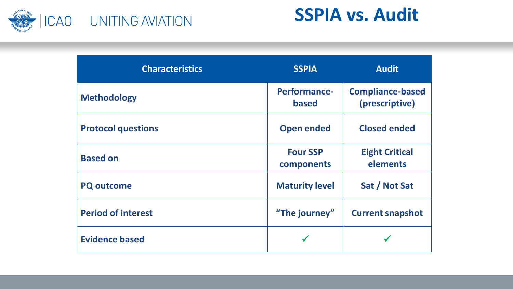

# **SSPIA vs. Audit**

| <b>Characteristics</b>    | <b>SSPIA</b>                  | <b>Audit</b>                              |
|---------------------------|-------------------------------|-------------------------------------------|
| <b>Methodology</b>        | Performance-<br><b>based</b>  | <b>Compliance-based</b><br>(prescriptive) |
| <b>Protocol questions</b> | <b>Open ended</b>             | <b>Closed ended</b>                       |
| <b>Based on</b>           | <b>Four SSP</b><br>components | <b>Eight Critical</b><br>elements         |
| <b>PQ outcome</b>         | <b>Maturity level</b>         | Sat / Not Sat                             |
| <b>Period of interest</b> | "The journey"                 | <b>Current snapshot</b>                   |
| <b>Evidence based</b>     |                               |                                           |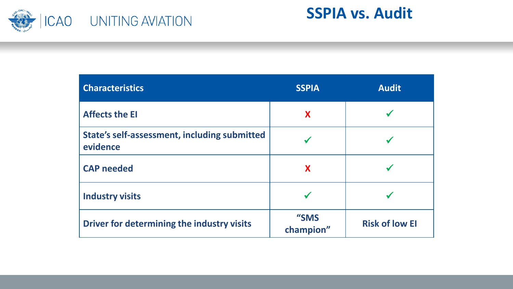

**SSPIA vs. Audit**

| <b>Characteristics</b>                                   | <b>SSPIA</b>      | <b>Audit</b>          |
|----------------------------------------------------------|-------------------|-----------------------|
| <b>Affects the El</b>                                    | X                 |                       |
| State's self-assessment, including submitted<br>evidence |                   |                       |
| <b>CAP needed</b>                                        | X                 |                       |
| <b>Industry visits</b>                                   |                   |                       |
| Driver for determining the industry visits               | "SMS<br>champion" | <b>Risk of low El</b> |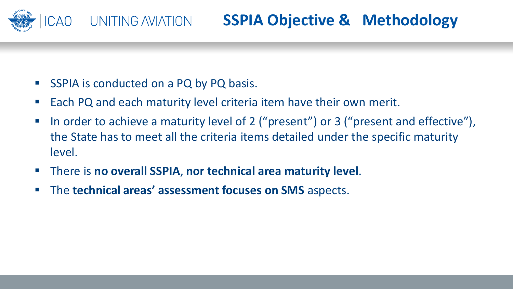

- SSPIA is conducted on a PQ by PQ basis.
- Each PQ and each maturity level criteria item have their own merit.
- In order to achieve a maturity level of 2 ("present") or 3 ("present and effective"), the State has to meet all the criteria items detailed under the specific maturity level.
- There is **no overall SSPIA**, **nor technical area maturity level**.
- The **technical areas' assessment focuses on SMS** aspects.